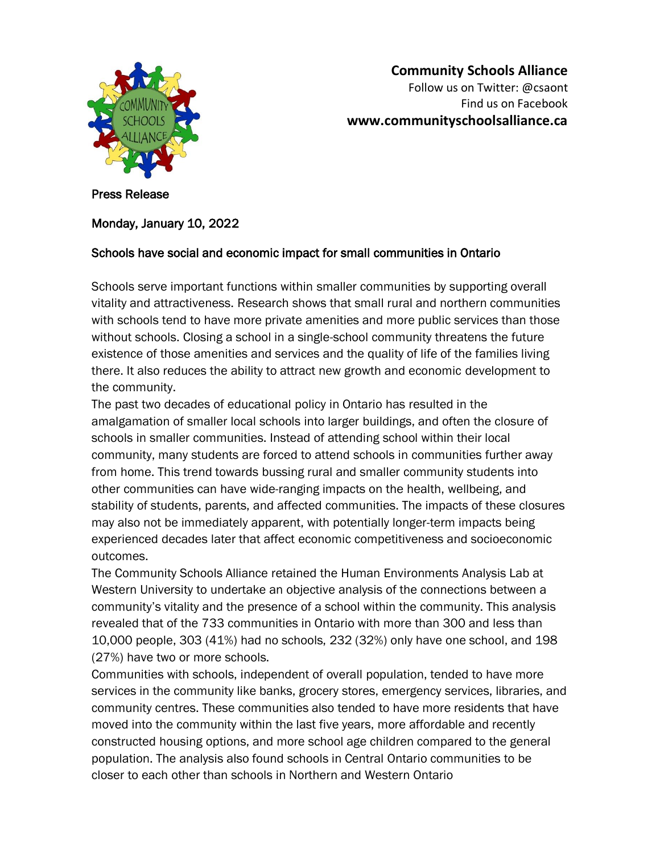

## **Community Schools Alliance** Follow us on Twitter: @csaont Find us on Facebook **www.communityschoolsalliance.ca**

Press Release

## Monday, January 10, 2022

## Schools have social and economic impact for small communities in Ontario

Schools serve important functions within smaller communities by supporting overall vitality and attractiveness. Research shows that small rural and northern communities with schools tend to have more private amenities and more public services than those without schools. Closing a school in a single-school community threatens the future existence of those amenities and services and the quality of life of the families living there. It also reduces the ability to attract new growth and economic development to the community.

The past two decades of educational policy in Ontario has resulted in the amalgamation of smaller local schools into larger buildings, and often the closure of schools in smaller communities. Instead of attending school within their local community, many students are forced to attend schools in communities further away from home. This trend towards bussing rural and smaller community students into other communities can have wide-ranging impacts on the health, wellbeing, and stability of students, parents, and affected communities. The impacts of these closures may also not be immediately apparent, with potentially longer-term impacts being experienced decades later that affect economic competitiveness and socioeconomic outcomes.

The Community Schools Alliance retained the Human Environments Analysis Lab at Western University to undertake an objective analysis of the connections between a community's vitality and the presence of a school within the community. This analysis revealed that of the 733 communities in Ontario with more than 300 and less than 10,000 people, 303 (41%) had no schools, 232 (32%) only have one school, and 198 (27%) have two or more schools.

Communities with schools, independent of overall population, tended to have more services in the community like banks, grocery stores, emergency services, libraries, and community centres. These communities also tended to have more residents that have moved into the community within the last five years, more affordable and recently constructed housing options, and more school age children compared to the general population. The analysis also found schools in Central Ontario communities to be closer to each other than schools in Northern and Western Ontario